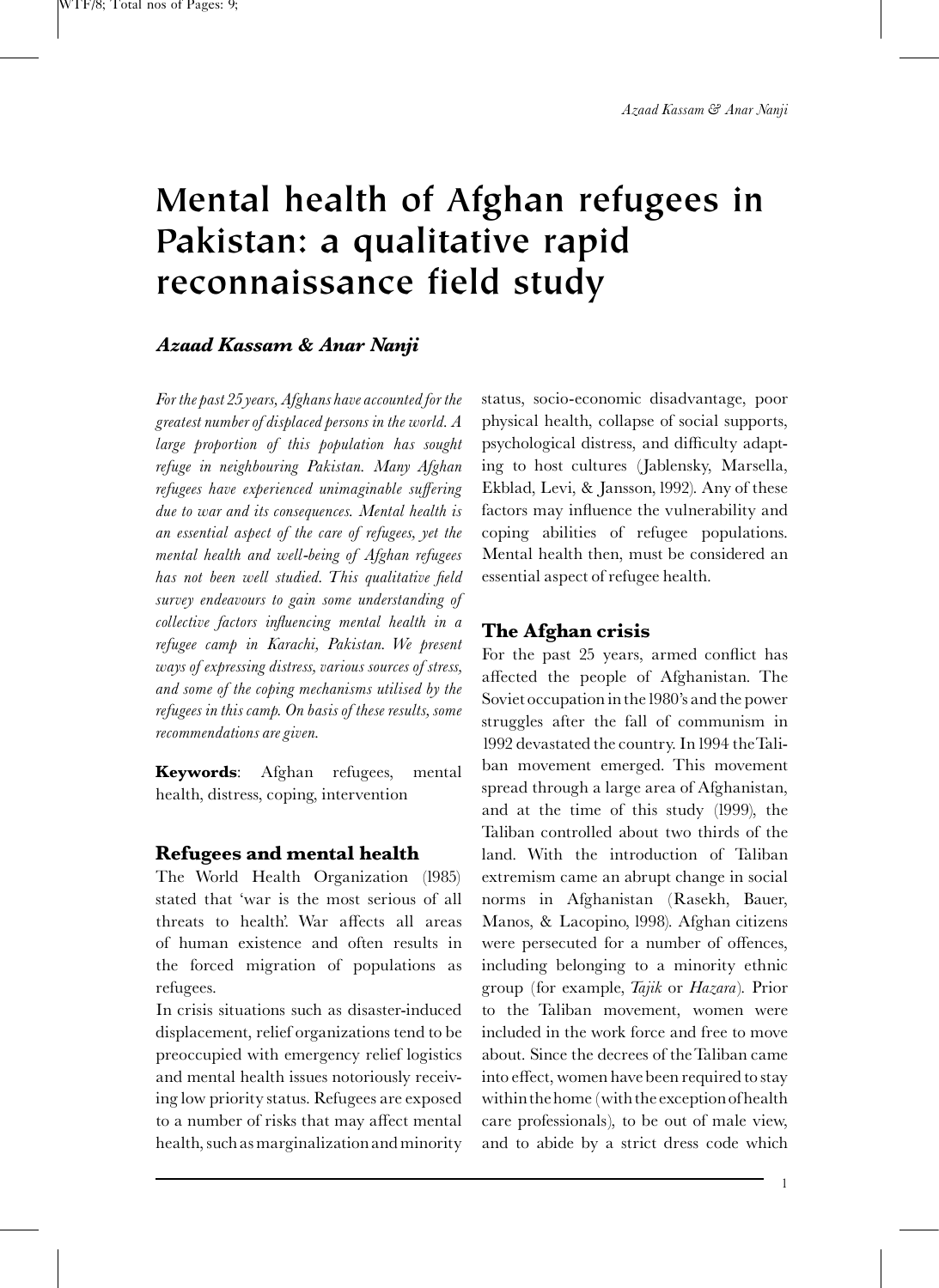# Mental health of Afghan refugees in Pakistan: a qualitative rapid reconnaissance field study

## Azaad Kassam & Anar Nanji

For the past 25 years, Afghans have accounted for the greatest number of displaced persons in the world. A large proportion of this population has sought refuge in neighbouring Pakistan. Many Afghan refugees have experienced unimaginable suffering due to war and its consequences. Mental health is an essential aspect of the care of refugees, yet the mental health and well-being of Afghan refugees has not been well studied. This qualitative field survey endeavours to gain some understanding of collective factors influencing mental health in a refugee camp in Karachi, Pakistan. We present ways of expressing distress, various sources of stress, and some of the coping mechanisms utilised by the refugees in this camp. On basis of these results, some recommendations are given.

Keywords: Afghan refugees, mental health, distress, coping, intervention

## Refugees and mental health

The [World Health Organization \(1985\)](#page-8-0) stated that 'war is the most serious of all threats to health'. War affects all areas of human existence and often results in the forced migration of populations as refugees.

In crisis situations such as disaster-induced displacement, relief organizations tend to be preoccupied with emergency relief logistics and mental health issues notoriously receiving low priority status. Refugees are exposed to a number of risks that may affect mental health, such asmarginalization andminority

status, socio-economic disadvantage, poor physical health, collapse of social supports, psychological distress, and difficulty adapting to host cultures [\(Jablensky, Marsella,](#page-7-0) [Ekblad, Levi, & Jansson,1992\)](#page-7-0). Any of these factors may influence the vulnerability and coping abilities of refugee populations. Mental health then, must be considered an essential aspect of refugee health.

## The Afghan crisis

For the past 25 years, armed conflict has affected the people of Afghanistan. The Soviet occupation in the1980's and the power struggles after the fall of communism in 1992 devastated the country. In1994 theTaliban movement emerged. This movement spread through a large area of Afghanistan, and at the time of this study (1999), the Taliban controlled about two thirds of the land. With the introduction of Taliban extremism came an abrupt change in social norms in Afghanistan [\(Rasekh, Bauer,](#page-7-0) [Manos, & Lacopino, 1998\)](#page-7-0). Afghan citizens were persecuted for a number of offences, including belonging to a minority ethnic group (for example, Tajik or Hazara). Prior to the Taliban movement, women were included in the work force and free to move about. Since the decrees of theTaliban came into effect, women have been required to stay within the home (with the exception of health care professionals), to be out of male view, and to abide by a strict dress code which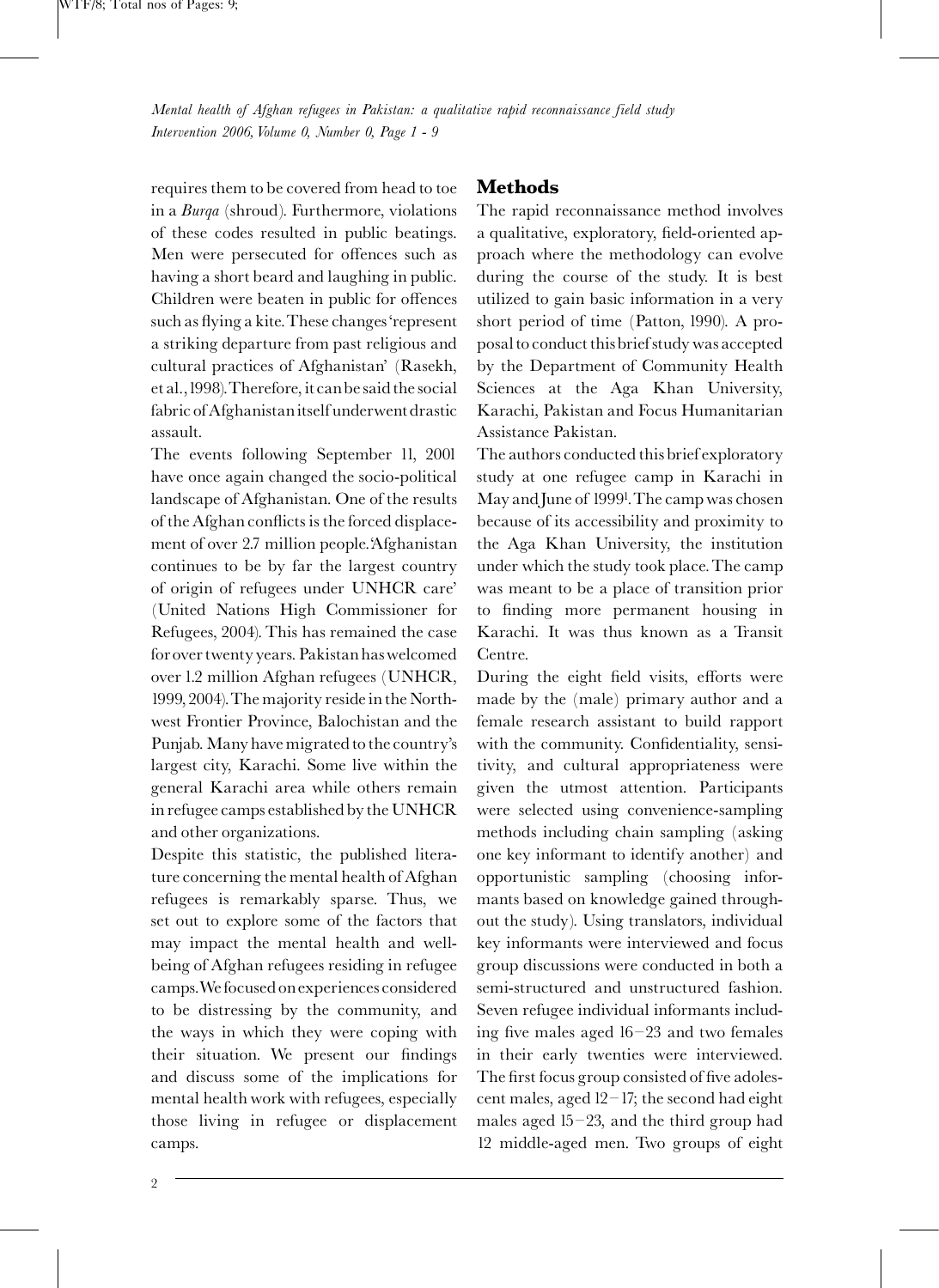requires them to be covered from head to toe in a Burqa (shroud). Furthermore, violations of these codes resulted in public beatings. Men were persecuted for offences such as having a short beard and laughing in public. Children were beaten in public for offences such as flying a kite. These changes 'represent a striking departure from past religious and cultural practices of Afghanistan' [\(Rasekh,](#page-7-0) [et al.,1998\)](#page-7-0).Therefore, it canbe said the social fabric of Afghanistanitself underwent drastic assault.

The events following September 11, 2001 have once again changed the socio-political landscape of Afghanistan. One of the results of the Afghan conflicts is the forced displacement of over 2.7 million people.'Afghanistan continues to be by far the largest country of origin of refugees under UNHCR care' (United Nations High Commissioner for Refugees, 2004). This has remained the case for over twenty years. Pakistan haswelcomed over 1.2 million Afghan refugees ([UNHCR,](#page-8-0) [1999, 2004\)](#page-8-0).The majority reside in the Northwest Frontier Province, Balochistan and the Punjab.Many have migrated to the country's largest city, Karachi. Some live within the general Karachi area while others remain in refugee camps established by the UNHCR and other organizations.

Despite this statistic, the published literature concerning the mental health of Afghan refugees is remarkably sparse. Thus, we set out to explore some of the factors that may impact the mental health and wellbeing of Afghan refugees residing in refugee camps.Wefocused onexperiences considered to be distressing by the community, and the ways in which they were coping with their situation. We present our findings and discuss some of the implications for mental health work with refugees, especially those living in refugee or displacement camps.

## Methods

The rapid reconnaissance method involves a qualitative, exploratory, field-oriented approach where the methodology can evolve during the course of the study. It is best utilized to gain basic information in a very short period of time [\(Patton, 1990\)](#page-7-0). A proposal to conduct thisbrief study was accepted by the Department of Community Health Sciences at the Aga Khan University, Karachi, Pakistan and Focus Humanitarian Assistance Pakistan.

The authors conducted this brief exploratory study at one refugee camp in Karachi in May andJune of 1999[1](#page-8-0) .The camp was chosen because of its accessibility and proximity to the Aga Khan University, the institution under which the study took place.The camp was meant to be a place of transition prior to finding more permanent housing in Karachi. It was thus known as a Transit Centre.

During the eight field visits, efforts were made by the (male) primary author and a female research assistant to build rapport with the community. Confidentiality, sensitivity, and cultural appropriateness were given the utmost attention. Participants were selected using convenience-sampling methods including chain sampling (asking one key informant to identify another) and opportunistic sampling (choosing informants based on knowledge gained throughout the study). Using translators, individual key informants were interviewed and focus group discussions were conducted in both a semi-structured and unstructured fashion. Seven refugee individual informants including five males aged  $16-23$  and two females in their early twenties were interviewed. The first focus group consisted of five adolescent males, aged  $12-17$ ; the second had eight males aged  $15-23$ , and the third group had 12 middle-aged men. Two groups of eight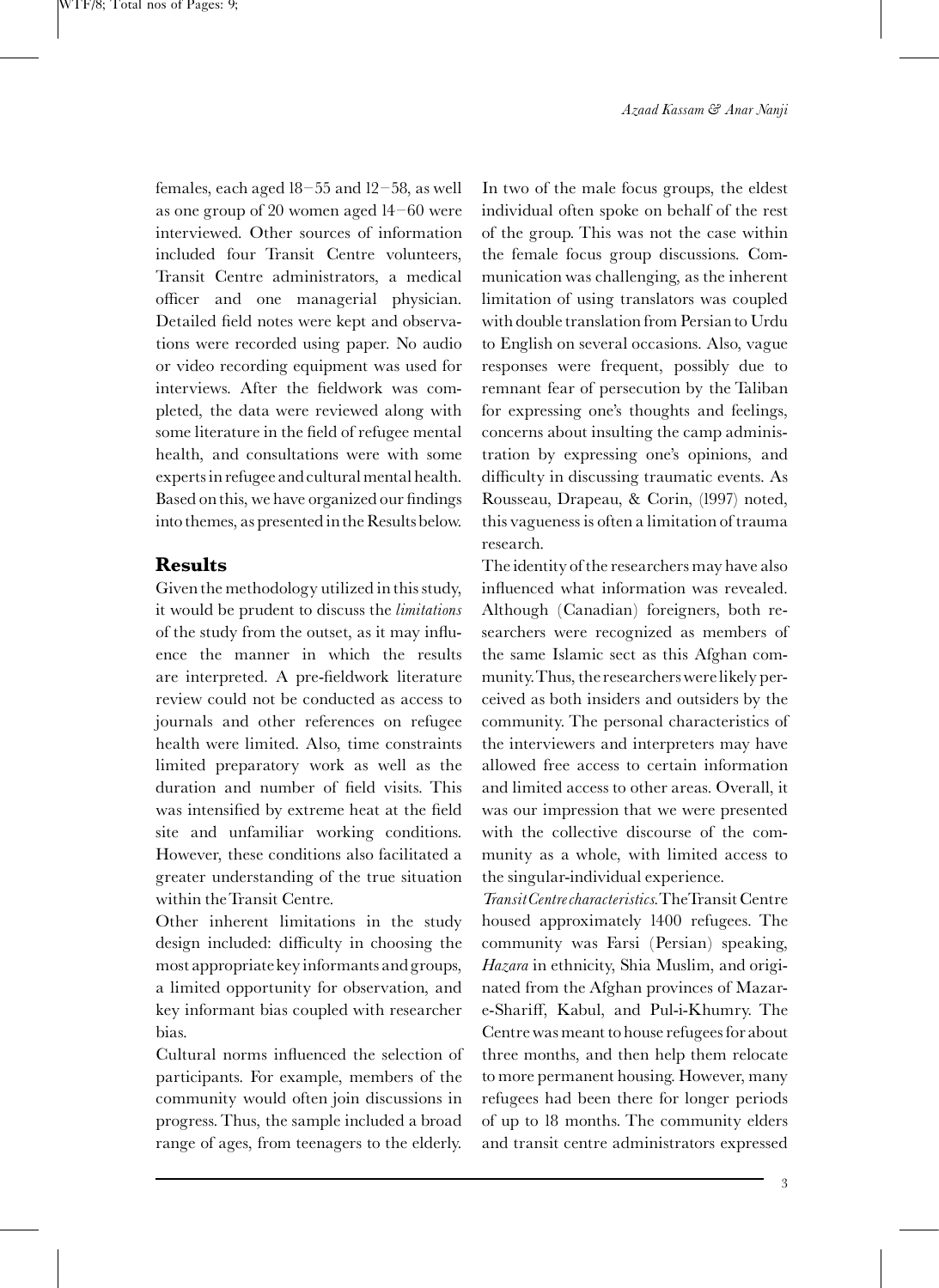Azaad Kassam & Anar Nanji

females, each aged  $18-55$  and  $12-58$ , as well as one group of 20 women aged  $14-60$  were interviewed. Other sources of information included four Transit Centre volunteers, Transit Centre administrators, a medical officer and one managerial physician. Detailed field notes were kept and observations were recorded using paper. No audio or video recording equipment was used for interviews. After the fieldwork was completed, the data were reviewed along with some literature in the field of refugee mental health, and consultations were with some experts in refugee and cultural mental health. Based on this, we have organized our findings into themes, as presented in the Resultsbelow.

## Results

Given the methodology utilized in this study, it would be prudent to discuss the limitations of the study from the outset, as it may influence the manner in which the results are interpreted. A pre-fieldwork literature review could not be conducted as access to journals and other references on refugee health were limited. Also, time constraints limited preparatory work as well as the duration and number of field visits. This was intensified by extreme heat at the field site and unfamiliar working conditions. However, these conditions also facilitated a greater understanding of the true situation within theTransit Centre.

Other inherent limitations in the study design included: difficulty in choosing the most appropriate key informants and groups, a limited opportunity for observation, and key informant bias coupled with researcher bias.

Cultural norms influenced the selection of participants. For example, members of the community would often join discussions in progress. Thus, the sample included a broad range of ages, from teenagers to the elderly.

In two of the male focus groups, the eldest individual often spoke on behalf of the rest of the group. This was not the case within the female focus group discussions. Communication was challenging, as the inherent limitation of using translators was coupled with double translation from Persian to Urdu to English on several occasions. Also, vague responses were frequent, possibly due to remnant fear of persecution by the Taliban for expressing one's thoughts and feelings, concerns about insulting the camp administration by expressing one's opinions, and difficulty in discussing traumatic events. As [Rousseau, Drapeau, & Corin, \(1997\)](#page-8-0) noted, this vagueness is often a limitation of trauma research.

The identity of the researchers may have also in£uenced what information was revealed. Although (Canadian) foreigners, both researchers were recognized as members of the same Islamic sect as this Afghan community.Thus, the researchers werelikely perceived as both insiders and outsiders by the community. The personal characteristics of the interviewers and interpreters may have allowed free access to certain information and limited access to other areas. Overall, it was our impression that we were presented with the collective discourse of the community as a whole, with limited access to the singular-individual experience.

TransitCentre characteristics.TheTransit Centre housed approximately 1400 refugees. The community was Farsi (Persian) speaking, Hazara in ethnicity, Shia Muslim, and originated from the Afghan provinces of Mazare-Shariff, Kabul, and Pul-i-Khumry. The Centre was meant to house refugees for about three months, and then help them relocate to more permanent housing. However, many refugees had been there for longer periods of up to 18 months. The community elders and transit centre administrators expressed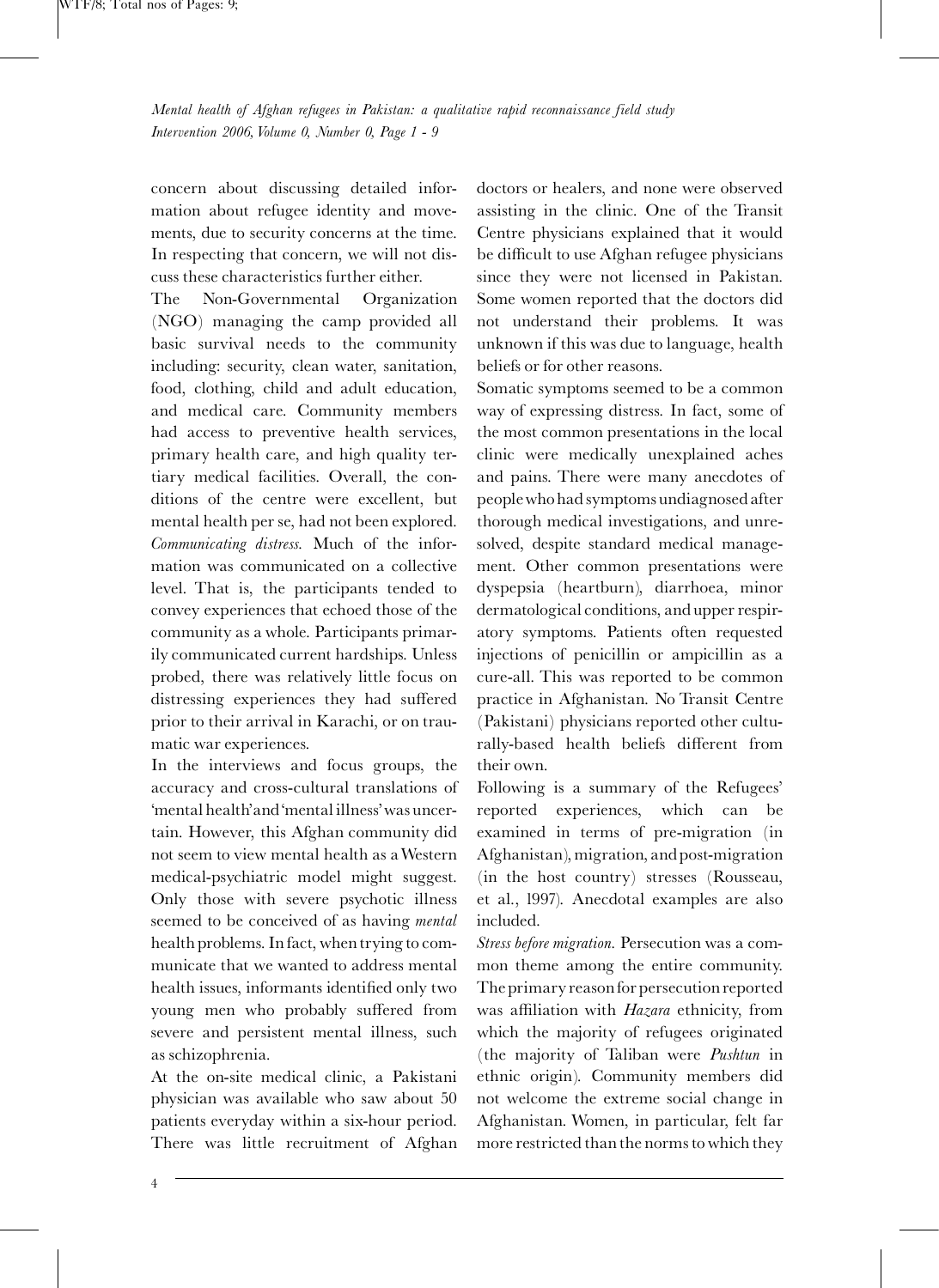concern about discussing detailed information about refugee identity and movements, due to security concerns at the time. In respecting that concern, we will not discuss these characteristics further either.

The Non-Governmental Organization (NGO) managing the camp provided all basic survival needs to the community including: security, clean water, sanitation, food, clothing, child and adult education, and medical care. Community members had access to preventive health services, primary health care, and high quality tertiary medical facilities. Overall, the conditions of the centre were excellent, but mental health per se, had not been explored. Communicating distress. Much of the information was communicated on a collective level. That is, the participants tended to convey experiences that echoed those of the community as a whole. Participants primarily communicated current hardships. Unless probed, there was relatively little focus on distressing experiences they had suffered prior to their arrival in Karachi, or on traumatic war experiences.

In the interviews and focus groups, the accuracy and cross-cultural translations of 'mental health'and'mental illness'was uncertain. However, this Afghan community did not seem to view mental health as aWestern medical-psychiatric model might suggest. Only those with severe psychotic illness seemed to be conceived of as having *mental* health problems. In fact, when trying to communicate that we wanted to address mental health issues, informants identified only two young men who probably suffered from severe and persistent mental illness, such as schizophrenia.

At the on-site medical clinic, a Pakistani physician was available who saw about 50 patients everyday within a six-hour period. There was little recruitment of Afghan doctors or healers, and none were observed assisting in the clinic. One of the Transit Centre physicians explained that it would be difficult to use Afghan refugee physicians since they were not licensed in Pakistan. Some women reported that the doctors did not understand their problems. It was unknown if this was due to language, health beliefs or for other reasons.

Somatic symptoms seemed to be a common way of expressing distress. In fact, some of the most common presentations in the local clinic were medically unexplained aches and pains. There were many anecdotes of peoplewho had symptoms undiagnosed after thorough medical investigations, and unresolved, despite standard medical management. Other common presentations were dyspepsia (heartburn), diarrhoea, minor dermatological conditions, and upper respiratory symptoms. Patients often requested injections of penicillin or ampicillin as a cure-all. This was reported to be common practice in Afghanistan. No Transit Centre (Pakistani) physicians reported other culturally-based health beliefs different from their own.

Following is a summary of the Refugees' reported experiences, which can be examined in terms of pre-migration (in Afghanistan), migration, and post-migration (in the host country) stresses [\(Rousseau,](#page-8-0) [et al., 1997\)](#page-8-0). Anecdotal examples are also included.

Stress before migration. Persecution was a common theme among the entire community. The primary reasonfor persecution reported was affiliation with Hazara ethnicity, from which the majority of refugees originated (the majority of Taliban were Pushtun in ethnic origin). Community members did not welcome the extreme social change in Afghanistan. Women, in particular, felt far more restricted than the norms to which they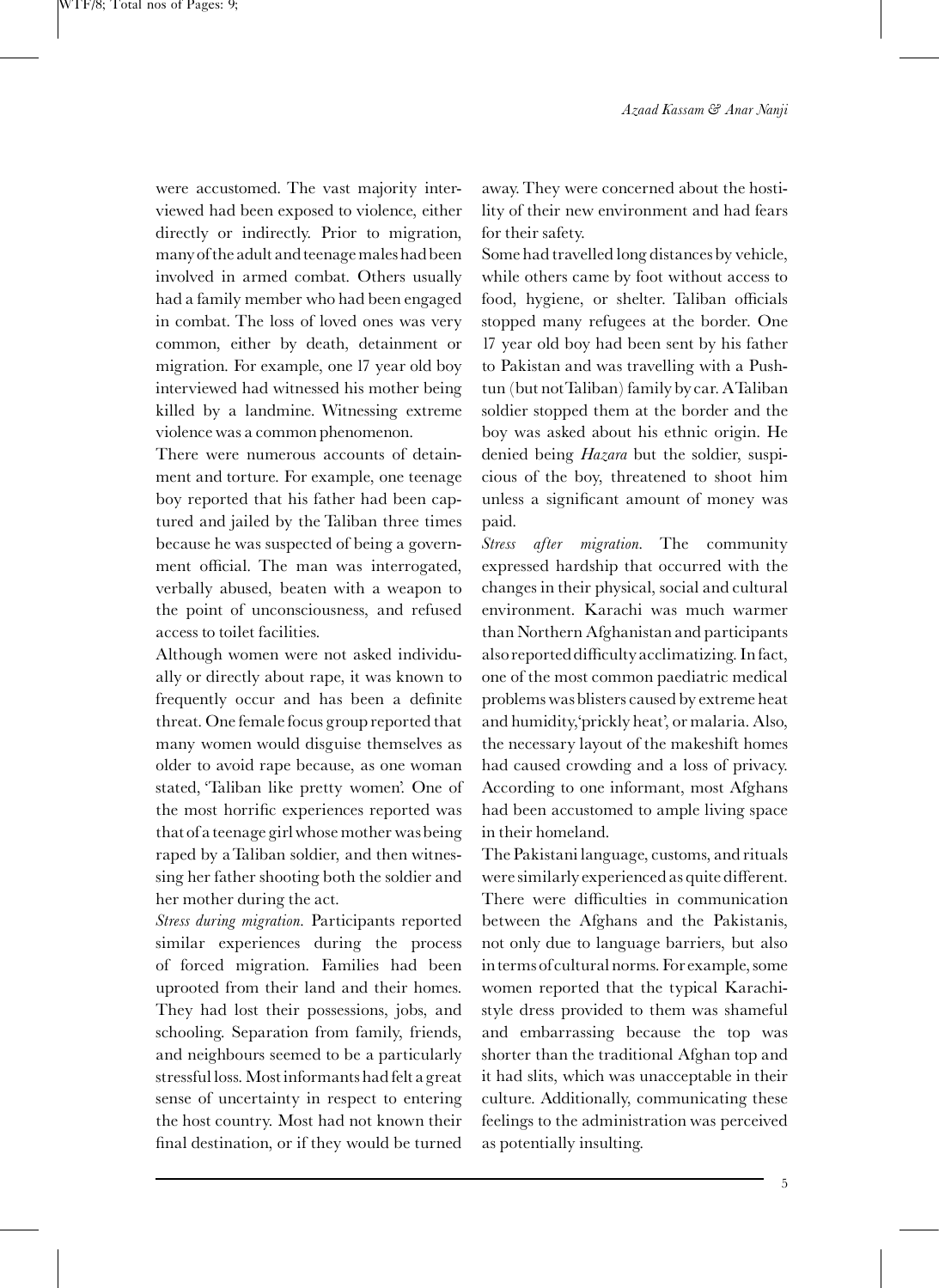were accustomed. The vast majority interviewed had been exposed to violence, either directly or indirectly. Prior to migration, many of the adult and teenagemales hadbeen involved in armed combat. Others usually had a family member who had been engaged in combat. The loss of loved ones was very common, either by death, detainment or migration. For example, one 17 year old boy interviewed had witnessed his mother being killed by a landmine. Witnessing extreme violence was a common phenomenon.

There were numerous accounts of detainment and torture. For example, one teenage boy reported that his father had been captured and jailed by the Taliban three times because he was suspected of being a government official. The man was interrogated, verbally abused, beaten with a weapon to the point of unconsciousness, and refused access to toilet facilities.

Although women were not asked individually or directly about rape, it was known to frequently occur and has been a definite threat. One female focus group reported that many women would disguise themselves as older to avoid rape because, as one woman stated, 'Taliban like pretty women'. One of the most horrific experiences reported was that of a teenage girlwhose mother wasbeing raped by aTaliban soldier, and then witnessing her father shooting both the soldier and her mother during the act.

Stress during migration. Participants reported similar experiences during the process of forced migration. Families had been uprooted from their land and their homes. They had lost their possessions, jobs, and schooling. Separation from family, friends, and neighbours seemed to be a particularly stressful loss.Most informants hadfelt a great sense of uncertainty in respect to entering the host country. Most had not known their final destination, or if they would be turned

away. They were concerned about the hostility of their new environment and had fears for their safety.

Some had travelled long distances by vehicle, while others came by foot without access to food, hygiene, or shelter. Taliban officials stopped many refugees at the border. One 17 year old boy had been sent by his father to Pakistan and was travelling with a Pushtun (but not Taliban) family by car. ATaliban soldier stopped them at the border and the boy was asked about his ethnic origin. He denied being *Hazara* but the soldier, suspicious of the boy, threatened to shoot him unless a significant amount of money was paid.

Stress after migration. The community expressed hardship that occurred with the changes in their physical, social and cultural environment. Karachi was much warmer than Northern Afghanistan and participants also reported difficulty acclimatizing. In fact, one of the most common paediatric medical problems was blisters caused by extreme heat and humidity,'prickly heat', or malaria. Also, the necessary layout of the makeshift homes had caused crowding and a loss of privacy. According to one informant, most Afghans had been accustomed to ample living space in their homeland.

The Pakistani language, customs, and rituals were similarly experienced as quite different. There were difficulties in communication between the Afghans and the Pakistanis, not only due to language barriers, but also in terms of cultural norms. Forexample, some women reported that the typical Karachistyle dress provided to them was shameful and embarrassing because the top was shorter than the traditional Afghan top and it had slits, which was unacceptable in their culture. Additionally, communicating these feelings to the administration was perceived as potentially insulting.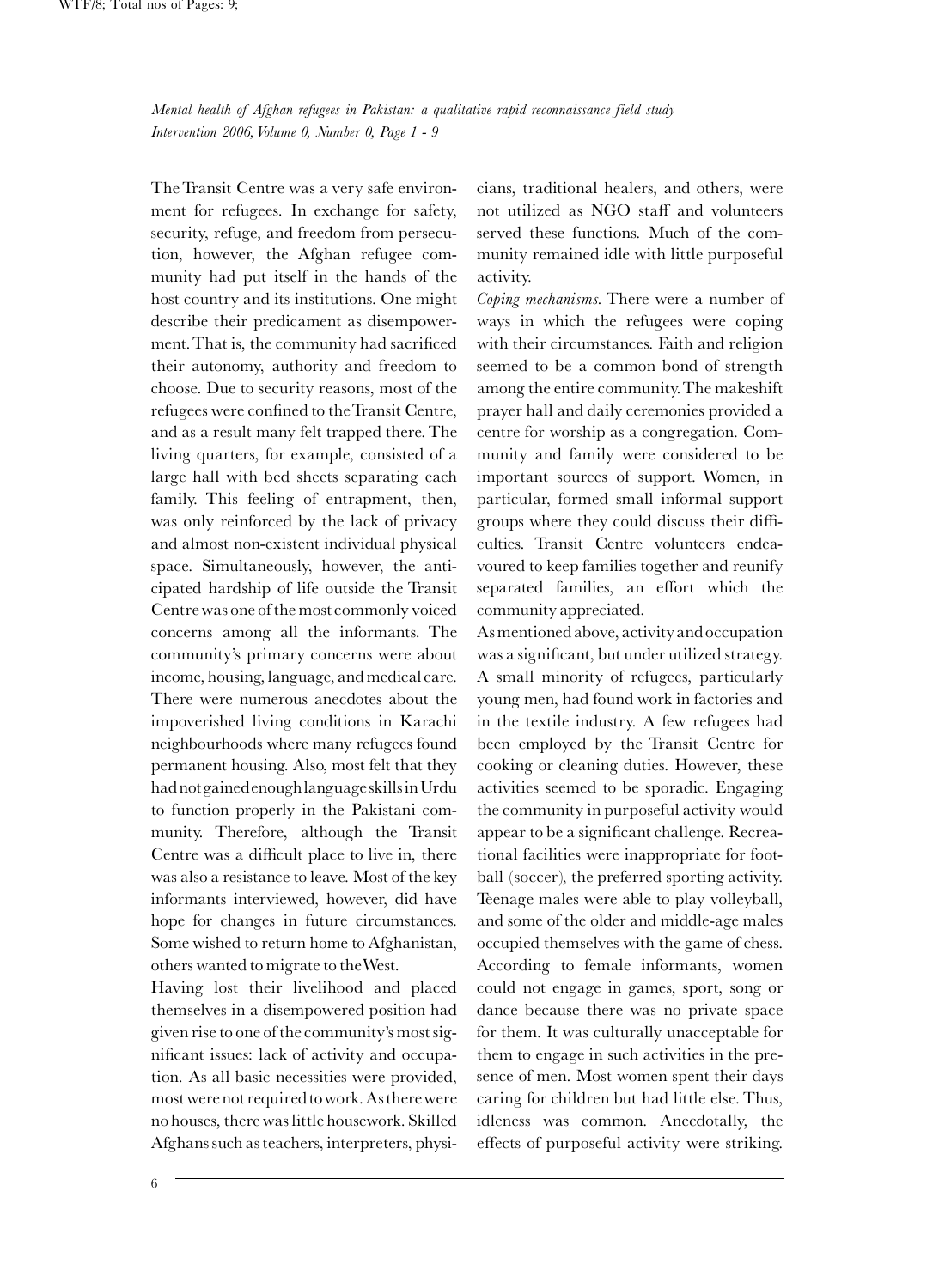The Transit Centre was a very safe environment for refugees. In exchange for safety, security, refuge, and freedom from persecution, however, the Afghan refugee community had put itself in the hands of the host country and its institutions. One might describe their predicament as disempowerment. That is, the community had sacrificed their autonomy, authority and freedom to choose. Due to security reasons, most of the refugees were confined to the Transit Centre, and as a result many felt trapped there. The living quarters, for example, consisted of a large hall with bed sheets separating each family. This feeling of entrapment, then, was only reinforced by the lack of privacy and almost non-existent individual physical space. Simultaneously, however, the anticipated hardship of life outside the Transit Centre was one of the most commonly voiced concerns among all the informants. The community's primary concerns were about income, housing, language, and medical care. There were numerous anecdotes about the impoverished living conditions in Karachi neighbourhoods where many refugees found permanent housing. Also, most felt that they hadnotgainedenoughlanguage skillsinUrdu to function properly in the Pakistani community. Therefore, although the Transit Centre was a difficult place to live in, there was also a resistance to leave. Most of the key informants interviewed, however, did have hope for changes in future circumstances. Some wished to return home to Afghanistan, others wanted to migrate to theWest.

Having lost their livelihood and placed themselves in a disempowered position had given rise to one of the community's most significant issues: lack of activity and occupation. As all basic necessities were provided, most were not required to work. As there were no houses, there was little housework. Skilled Afghans such as teachers, interpreters, physicians, traditional healers, and others, were not utilized as NGO staff and volunteers served these functions. Much of the community remained idle with little purposeful activity.

Coping mechanisms. There were a number of ways in which the refugees were coping with their circumstances. Faith and religion seemed to be a common bond of strength among the entire community.The makeshift prayer hall and daily ceremonies provided a centre for worship as a congregation. Community and family were considered to be important sources of support. Women, in particular, formed small informal support groups where they could discuss their difficulties. Transit Centre volunteers endeavoured to keep families together and reunify separated families, an effort which the community appreciated.

Asmentioned above, activity and occupation was a significant, but under utilized strategy. A small minority of refugees, particularly young men, had found work in factories and in the textile industry. A few refugees had been employed by the Transit Centre for cooking or cleaning duties. However, these activities seemed to be sporadic. Engaging the community in purposeful activity would appear to be a significant challenge. Recreational facilities were inappropriate for football (soccer), the preferred sporting activity. Teenage males were able to play volleyball, and some of the older and middle-age males occupied themselves with the game of chess. According to female informants, women could not engage in games, sport, song or dance because there was no private space for them. It was culturally unacceptable for them to engage in such activities in the presence of men. Most women spent their days caring for children but had little else. Thus, idleness was common. Anecdotally, the effects of purposeful activity were striking.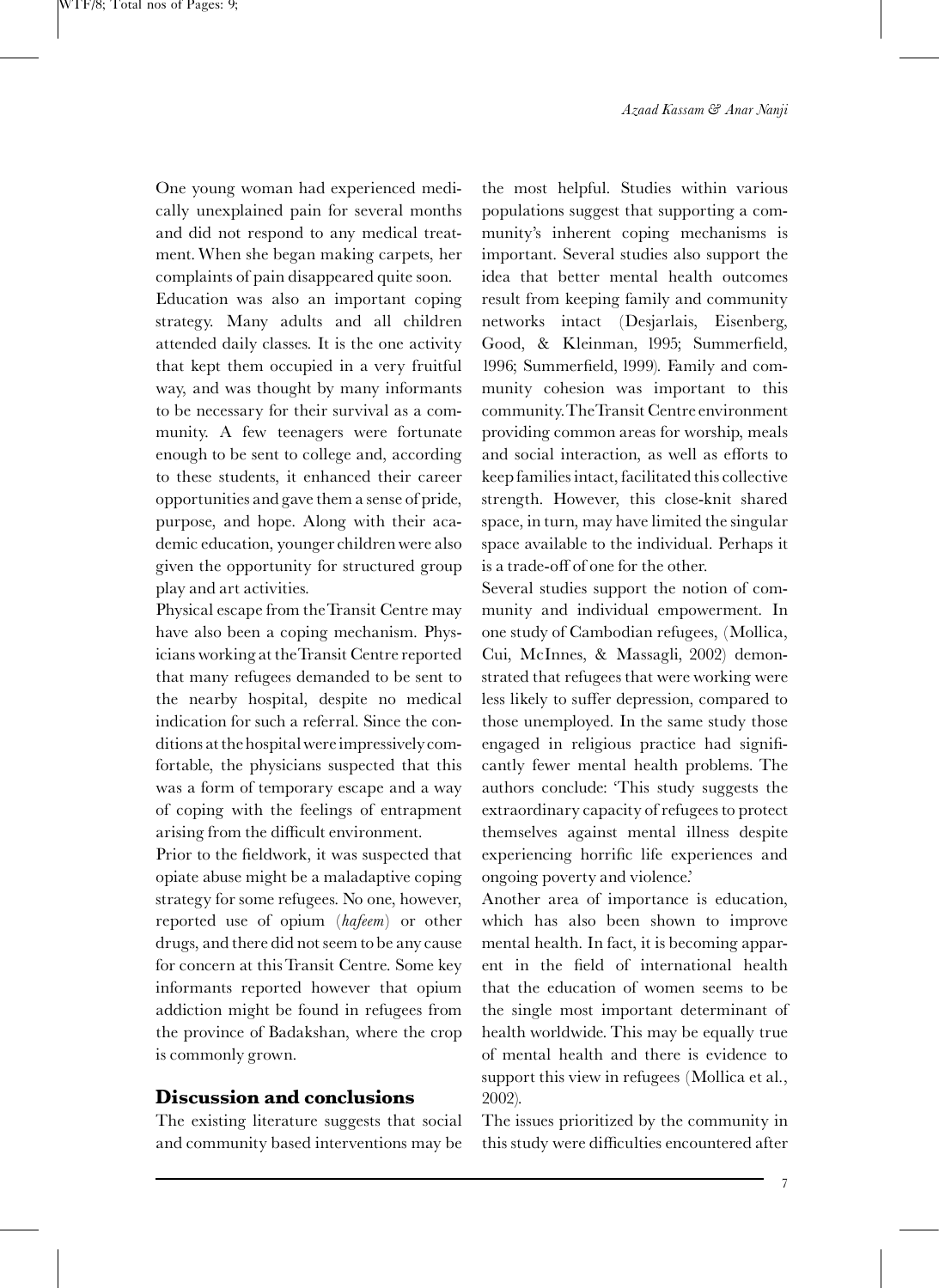One young woman had experienced medically unexplained pain for several months and did not respond to any medical treatment.When she began making carpets, her complaints of pain disappeared quite soon.

Education was also an important coping strategy. Many adults and all children attended daily classes. It is the one activity that kept them occupied in a very fruitful way, and was thought by many informants to be necessary for their survival as a community. A few teenagers were fortunate enough to be sent to college and, according to these students, it enhanced their career opportunities and gave them a sense of pride, purpose, and hope. Along with their academic education, younger children were also given the opportunity for structured group play and art activities.

Physical escape from theTransit Centre may have also been a coping mechanism. Physicians working at theTransit Centre reported that many refugees demanded to be sent to the nearby hospital, despite no medical indication for such a referral. Since the conditions at the hospitalwereimpressivelycomfortable, the physicians suspected that this was a form of temporary escape and a way of coping with the feelings of entrapment arising from the difficult environment.

Prior to the fieldwork, it was suspected that opiate abuse might be a maladaptive coping strategy for some refugees. No one, however, reported use of opium (hafeem) or other drugs, and there did not seem to be any cause for concern at this Transit Centre. Some key informants reported however that opium addiction might be found in refugees from the province of Badakshan, where the crop is commonly grown.

## Discussion and conclusions

The existing literature suggests that social and community based interventions may be

the most helpful. Studies within various populations suggest that supporting a community's inherent coping mechanisms is important. Several studies also support the idea that better mental health outcomes result from keeping family and community networks intact [\(Desjarlais, Eisenberg,](#page-7-0) [Good, & Kleinman, 1995;](#page-7-0) Summerfield, 1996; Summerfield, 1999). Family and community cohesion was important to this community.TheTransit Centre environment providing common areas for worship, meals and social interaction, as well as efforts to keep families intact, facilitated this collective strength. However, this close-knit shared space, in turn, may have limited the singular space available to the individual. Perhaps it is a trade-off of one for the other.

Several studies support the notion of community and individual empowerment. In one study of Cambodian refugees, ([Mollica,](#page-7-0) [Cui, McInnes, & Massagli, 2002\)](#page-7-0) demonstrated that refugees that were working were less likely to suffer depression, compared to those unemployed. In the same study those engaged in religious practice had significantly fewer mental health problems. The authors conclude: 'This study suggests the extraordinary capacity of refugees to protect themselves against mental illness despite experiencing horrific life experiences and ongoing poverty and violence.'

Another area of importance is education, which has also been shown to improve mental health. In fact, it is becoming apparent in the field of international health that the education of women seems to be the single most important determinant of health worldwide. This may be equally true of mental health and there is evidence to support this view in refugees ([Mollica et al.,](#page-7-0) [2002\)](#page-7-0).

The issues prioritized by the community in this study were difficulties encountered after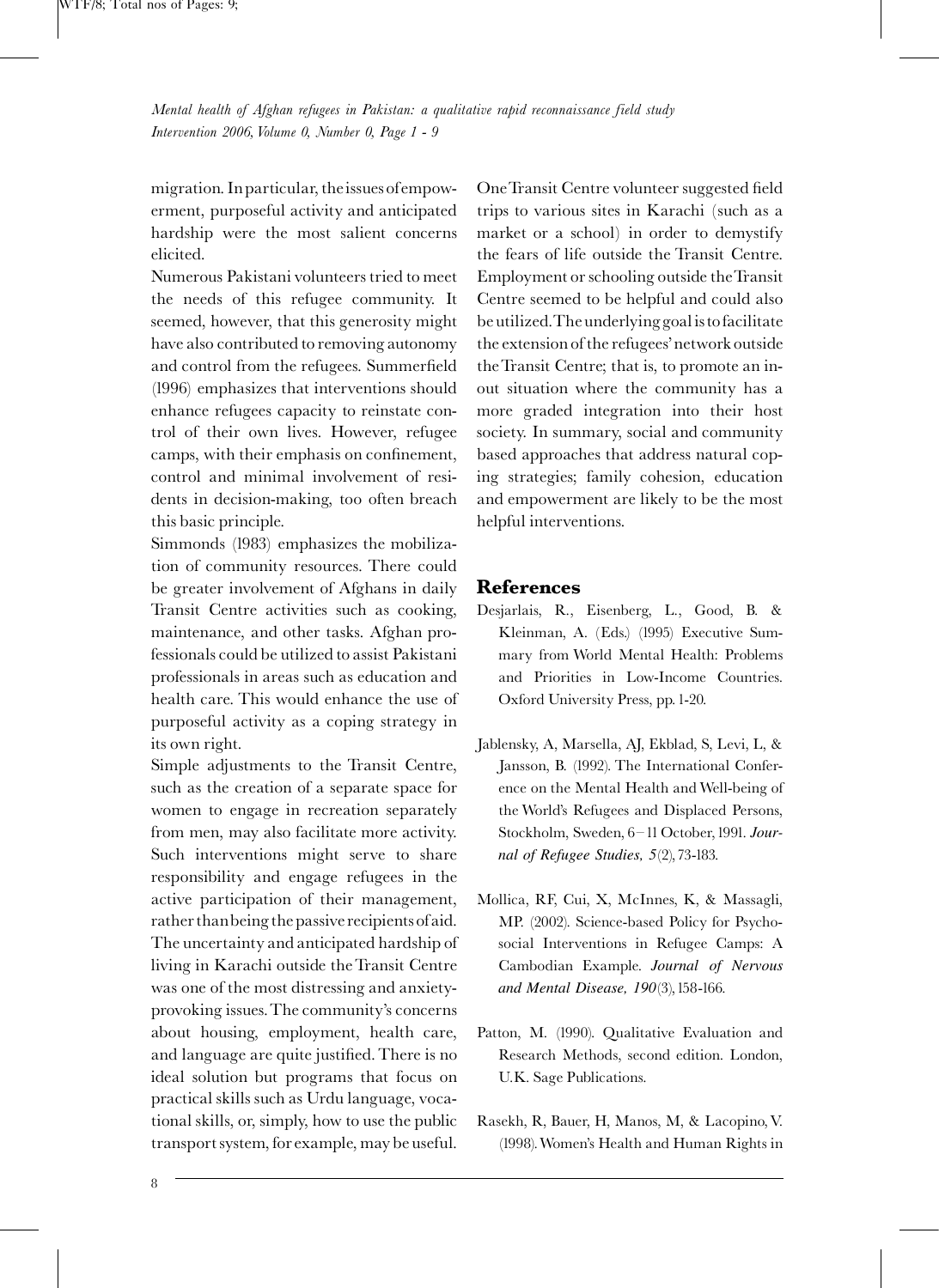<span id="page-7-0"></span>migration. Inparticular, theissues ofempowerment, purposeful activity and anticipated hardship were the most salient concerns elicited.

Numerous Pakistani volunteers tried to meet the needs of this refugee community. It seemed, however, that this generosity might have also contributed to removing autonomy and control from the refugees. Summerfield [\(1996\)](#page-8-0) emphasizes that interventions should enhance refugees capacity to reinstate control of their own lives. However, refugee camps, with their emphasis on confinement, control and minimal involvement of residents in decision-making, too often breach this basic principle.

[Simmonds \(1983\)](#page-8-0) emphasizes the mobilization of community resources. There could be greater involvement of Afghans in daily Transit Centre activities such as cooking, maintenance, and other tasks. Afghan professionals could be utilized to assist Pakistani professionals in areas such as education and health care. This would enhance the use of purposeful activity as a coping strategy in its own right.

Simple adjustments to the Transit Centre, such as the creation of a separate space for women to engage in recreation separately from men, may also facilitate more activity. Such interventions might serve to share responsibility and engage refugees in the active participation of their management, rather thanbeing the passive recipients of aid. The uncertainty and anticipated hardship of living in Karachi outside the Transit Centre was one of the most distressing and anxietyprovoking issues.The community's concerns about housing, employment, health care, and language are quite justified. There is no ideal solution but programs that focus on practical skills such as Urdu language, vocational skills, or, simply, how to use the public transport system, for example, may be useful.

One Transit Centre volunteer suggested field trips to various sites in Karachi (such as a market or a school) in order to demystify the fears of life outside the Transit Centre. Employment or schooling outside theTransit Centre seemed to be helpful and could also be utilized.Theunderlying goalis tofacilitate the extension of the refugees'network outside theTransit Centre; that is, to promote an inout situation where the community has a more graded integration into their host society. In summary, social and community based approaches that address natural coping strategies; family cohesion, education and empowerment are likely to be the most helpful interventions.

#### References

- Desjarlais, R., Eisenberg, L., Good, B. & Kleinman, A. (Eds.) (1995) Executive Summary from World Mental Health: Problems and Priorities in Low-Income Countries. Oxford University Press, pp. 1-20.
- Jablensky, A, Marsella, AJ, Ekblad, S, Levi, L, & Jansson, B. (1992). The International Conference on the Mental Health and Well-being of the World's Refugees and Displaced Persons, Stockholm, Sweden, 6-11 October, 1991. Journal of Refugee Studies, 5(2),73-183.
- Mollica, RF, Cui, X, McInnes, K, & Massagli, MP. (2002). Science-based Policy for Psychosocial Interventions in Refugee Camps: A Cambodian Example. Journal of Nervous and Mental Disease, 190(3),158-166.
- Patton, M. (1990). Qualitative Evaluation and Research Methods, second edition. London, U.K. Sage Publications.
- Rasekh, R, Bauer, H, Manos, M, & Lacopino,V. (1998).Women's Health and Human Rights in

8